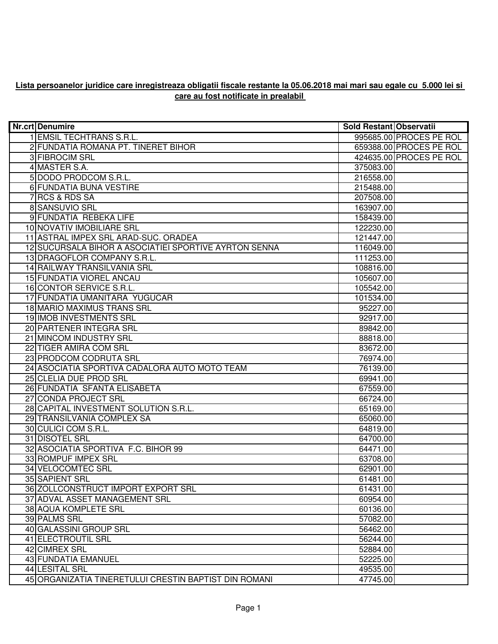## **Lista persoanelor juridice care inregistreaza obligatii fiscale restante la 05.06.2018 mai mari sau egale cu 5.000 lei si care au fost notificate in prealabil**

| <b>Nr.crt Denumire</b>                                | Sold Restant Observatii |                         |
|-------------------------------------------------------|-------------------------|-------------------------|
| 1 EMSIL TECHTRANS S.R.L.                              |                         | 995685.00 PROCES PE ROL |
| 2 FUNDATIA ROMANA PT. TINERET BIHOR                   |                         | 659388.00 PROCES PE ROL |
| 3 FIBROCIM SRL                                        |                         | 424635.00 PROCES PE ROL |
| 4 MASTER S.A.                                         | 375083.00               |                         |
| 5 DODO PRODCOM S.R.L.                                 | 216558.00               |                         |
| <b>6 FUNDATIA BUNA VESTIRE</b>                        | 215488.00               |                         |
| 7 RCS & RDS SA                                        | 207508.00               |                         |
| 8 SANSUVIO SRL                                        | 163907.00               |                         |
| 9 FUNDATIA REBEKA LIFE                                | 158439.00               |                         |
| 10 NOVATIV IMOBILIARE SRL                             | 122230.00               |                         |
| 11 ASTRAL IMPEX SRL ARAD-SUC. ORADEA                  | 121447.00               |                         |
| 12 SUCURSALA BIHOR A ASOCIATIEI SPORTIVE AYRTON SENNA | 116049.00               |                         |
| 13 DRAGOFLOR COMPANY S.R.L.                           | 111253.00               |                         |
| 14 RAILWAY TRANSILVANIA SRL                           | 108816.00               |                         |
| 15 FUNDATIA VIOREL ANCAU                              | 105607.00               |                         |
| 16 CONTOR SERVICE S.R.L.                              | 105542.00               |                         |
| 17 FUNDATIA UMANITARA YUGUCAR                         | 101534.00               |                         |
| 18 MARIO MAXIMUS TRANS SRL                            | 95227.00                |                         |
| 19 IMOB INVESTMENTS SRL                               | 92917.00                |                         |
| 20 PARTENER INTEGRA SRL                               | 89842.00                |                         |
| 21 MINCOM INDUSTRY SRL                                | 88818.00                |                         |
| 22 TIGER AMIRA COM SRL                                | 83672.00                |                         |
| 23 PRODCOM CODRUTA SRL                                | 76974.00                |                         |
| 24 ASOCIATIA SPORTIVA CADALORA AUTO MOTO TEAM         | 76139.00                |                         |
| 25 CLELIA DUE PROD SRL                                | 69941.00                |                         |
| 26 FUNDATIA SFANTA ELISABETA                          | 67559.00                |                         |
| 27 CONDA PROJECT SRL                                  | 66724.00                |                         |
| 28 CAPITAL INVESTMENT SOLUTION S.R.L.                 | 65169.00                |                         |
| 29 TRANSILVANIA COMPLEX SA                            | 65060.00                |                         |
| 30 CULICI COM S.R.L.                                  | 64819.00                |                         |
| 31 DISOTEL SRL                                        | 64700.00                |                         |
| 32 ASOCIATIA SPORTIVA F.C. BIHOR 99                   | 64471.00                |                         |
| 33 ROMPUF IMPEX SRL                                   | 63708.00                |                         |
| 34 VELOCOMTEC SRL                                     | 62901.00                |                         |
| 35 SAPIENT SRL                                        | 61481.00                |                         |
| 36 ZOLLCONSTRUCT IMPORT EXPORT SRL                    | 61431.00                |                         |
| 37 ADVAL ASSET MANAGEMENT SRL                         | 60954.00                |                         |
| 38 AQUA KOMPLETE SRL                                  | 60136.00                |                         |
| 39 PALMS SRL                                          | 57082.00                |                         |
| 40 GALASSINI GROUP SRL                                | 56462.00                |                         |
| 41 ELECTROUTIL SRL                                    | 56244.00                |                         |
| 42 CIMREX SRL                                         | 52884.00                |                         |
| <b>43 FUNDATIA EMANUEL</b>                            | 52225.00                |                         |
| 44 LESITAL SRL                                        | 49535.00                |                         |
| 45 ORGANIZATIA TINERETULUI CRESTIN BAPTIST DIN ROMANI | 47745.00                |                         |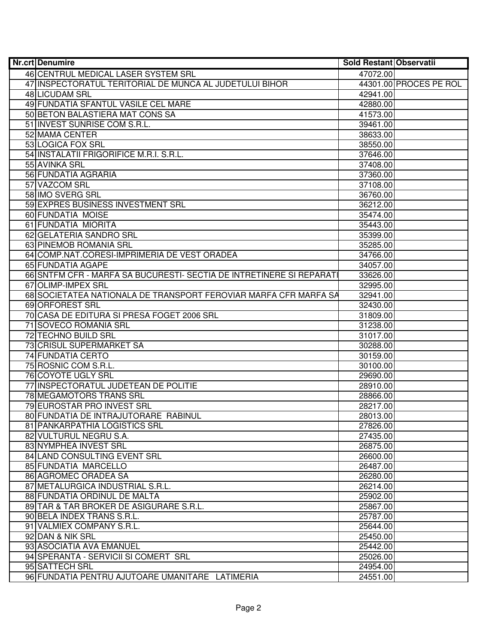| Nr.crt Denumire                                                      | Sold Restant Observatii |                        |
|----------------------------------------------------------------------|-------------------------|------------------------|
| 46 CENTRUL MEDICAL LASER SYSTEM SRL                                  | 47072.00                |                        |
| 47 INSPECTORATUL TERITORIAL DE MUNCA AL JUDETULUI BIHOR              |                         | 44301.00 PROCES PE ROL |
| 48 LICUDAM SRL                                                       | 42941.00                |                        |
| 49 FUNDATIA SFANTUL VASILE CEL MARE                                  | 42880.00                |                        |
| 50 BETON BALASTIERA MAT CONS SA                                      | 41573.00                |                        |
| 51 INVEST SUNRISE COM S.R.L.                                         | 39461.00                |                        |
| 52 MAMA CENTER                                                       | 38633.00                |                        |
| 53 LOGICA FOX SRL                                                    | 38550.00                |                        |
| 54 INSTALATII FRIGORIFICE M.R.I. S.R.L.                              | 37646.00                |                        |
| 55 AVINKA SRL                                                        | 37408.00                |                        |
| 56 FUNDATIA AGRARIA                                                  | 37360.00                |                        |
| 57 VAZCOM SRL                                                        | 37108.00                |                        |
| 58 IMO SVERG SRL                                                     | 36760.00                |                        |
| 59 EXPRES BUSINESS INVESTMENT SRL                                    | 36212.00                |                        |
| 60 FUNDATIA MOISE                                                    | 35474.00                |                        |
| 61 FUNDATIA MIORITA                                                  | 35443.00                |                        |
| 62 GELATERIA SANDRO SRL                                              | 35399.00                |                        |
| 63 PINEMOB ROMANIA SRL                                               | 35285.00                |                        |
| 64 COMP.NAT.CORESI-IMPRIMERIA DE VEST ORADEA                         | 34766.00                |                        |
| 65 FUNDATIA AGAPE                                                    | 34057.00                |                        |
| 66 SNTFM CFR - MARFA SA BUCURESTI- SECTIA DE INTRETINERE SI REPARATI | 33626.00                |                        |
| 67 OLIMP-IMPEX SRL                                                   | 32995.00                |                        |
| 68 SOCIETATEA NATIONALA DE TRANSPORT FEROVIAR MARFA CFR MARFA SA     | 32941.00                |                        |
| 69 ORFOREST SRL                                                      | 32430.00                |                        |
| 70 CASA DE EDITURA SI PRESA FOGET 2006 SRL                           | 31809.00                |                        |
| 71 SOVECO ROMANIA SRL                                                | 31238.00                |                        |
| 72 TECHNO BUILD SRL                                                  | 31017.00                |                        |
| 73 CRISUL SUPERMARKET SA                                             | 30288.00                |                        |
| 74 FUNDATIA CERTO                                                    | 30159.00                |                        |
| 75 ROSNIC COM S.R.L.                                                 | 30100.00                |                        |
| 76 COYOTE UGLY SRL                                                   | 29690.00                |                        |
| 77 INSPECTORATUL JUDETEAN DE POLITIE                                 | 28910.00                |                        |
| 78 MEGAMOTORS TRANS SRL                                              | 28866.00                |                        |
| 79 EUROSTAR PRO INVEST SRL                                           | 28217.00                |                        |
| 80 FUNDATIA DE INTRAJUTORARE RABINUL                                 | 28013.00                |                        |
| 81 PANKARPATHIA LOGISTICS SRL                                        | 27826.00                |                        |
| 82 VULTURUL NEGRU S.A.                                               | 27435.00                |                        |
| 83 NYMPHEA INVEST SRL                                                | 26875.00                |                        |
| 84 LAND CONSULTING EVENT SRL                                         | 26600.00                |                        |
| 85 FUNDATIA MARCELLO                                                 | 26487.00                |                        |
| 86 AGROMEC ORADEA SA                                                 | 26280.00                |                        |
| 87 METALURGICA INDUSTRIAL S.R.L.                                     | 26214.00                |                        |
| 88 FUNDATIA ORDINUL DE MALTA                                         | 25902.00                |                        |
| 89 TAR & TAR BROKER DE ASIGURARE S.R.L.                              | 25867.00                |                        |
| 90 BELA INDEX TRANS S.R.L.                                           | 25787.00                |                        |
| 91 VALMIEX COMPANY S.R.L.                                            | 25644.00                |                        |
| 92 DAN & NIK SRL                                                     | 25450.00                |                        |
| 93 ASOCIATIA AVA EMANUEL                                             | 25442.00                |                        |
| 94 SPERANTA - SERVICII SI COMERT SRL                                 | 25026.00                |                        |
| 95 SATTECH SRL                                                       | 24954.00                |                        |
| 96 FUNDATIA PENTRU AJUTOARE UMANITARE LATIMERIA                      | 24551.00                |                        |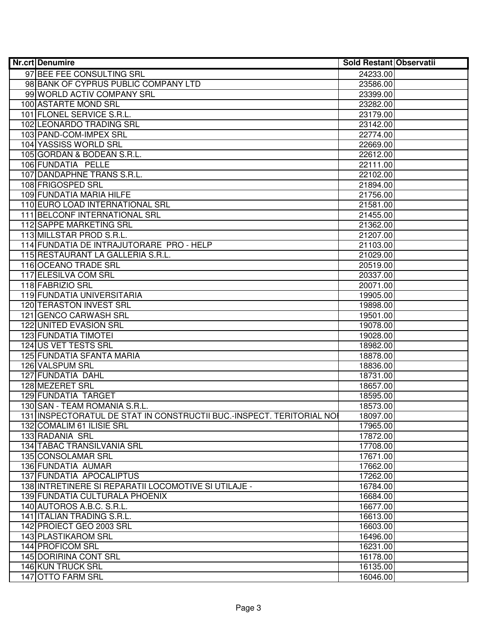| <b>Nr.crt Denumire</b>                                                | Sold Restant Observatii |  |
|-----------------------------------------------------------------------|-------------------------|--|
| 97 BEE FEE CONSULTING SRL                                             | 24233.00                |  |
| 98 BANK OF CYPRUS PUBLIC COMPANY LTD                                  | 23586.00                |  |
| 99 WORLD ACTIV COMPANY SRL                                            | 23399.00                |  |
| 100 ASTARTE MOND SRL                                                  | 23282.00                |  |
| 101 FLONEL SERVICE S.R.L.                                             | 23179.00                |  |
| 102 LEONARDO TRADING SRL                                              | 23142.00                |  |
| 103 PAND-COM-IMPEX SRL                                                | 22774.00                |  |
| 104 YASSISS WORLD SRL                                                 | 22669.00                |  |
| 105 GORDAN & BODEAN S.R.L.                                            | 22612.00                |  |
| 106 FUNDATIA PELLE                                                    | 22111.00                |  |
| 107 DANDAPHNE TRANS S.R.L.                                            | 22102.00                |  |
| 108 FRIGOSPED SRL                                                     | 21894.00                |  |
| 109 FUNDATIA MARIA HILFE                                              | 21756.00                |  |
| 110 EURO LOAD INTERNATIONAL SRL                                       | 21581.00                |  |
| 111 BELCONF INTERNATIONAL SRL                                         | 21455.00                |  |
| 112 SAPPE MARKETING SRL                                               | 21362.00                |  |
| 113 MILLSTAR PROD S.R.L.                                              | 21207.00                |  |
| 114 FUNDATIA DE INTRAJUTORARE PRO - HELP                              | 21103.00                |  |
| 115 RESTAURANT LA GALLERIA S.R.L.                                     | 21029.00                |  |
| 116 OCEANO TRADE SRL                                                  | 20519.00                |  |
| 117 ELESILVA COM SRL                                                  | 20337.00                |  |
| 118 FABRIZIO SRL                                                      | 20071.00                |  |
| 119 FUNDATIA UNIVERSITARIA                                            | 19905.00                |  |
| 120 TERASTON INVEST SRL                                               | 19898.00                |  |
| 121 GENCO CARWASH SRL                                                 | 19501.00                |  |
| 122 UNITED EVASION SRL                                                | 19078.00                |  |
| 123 FUNDATIA TIMOTEI                                                  | 19028.00                |  |
| 124 US VET TESTS SRL                                                  | 18982.00                |  |
| 125 FUNDATIA SFANTA MARIA                                             | 18878.00                |  |
| 126 VALSPUM SRL                                                       | 18836.00                |  |
| 127 FUNDATIA DAHL                                                     | 18731.00                |  |
| 128 MEZERET SRL                                                       | 18657.00                |  |
| 129 FUNDATIA TARGET                                                   | 18595.00                |  |
| 130 SAN - TEAM ROMANIA S.R.L.                                         | 18573.00                |  |
| 131 INSPECTORATUL DE STAT IN CONSTRUCTII BUC.-INSPECT. TERITORIAL NOI | 18097.00                |  |
| 132 COMALIM 61 ILISIE SRL                                             | 17965.00                |  |
| 133 RADANIA SRL                                                       | 17872.00                |  |
| 134 TABAC TRANSILVANIA SRL                                            | 17708.00                |  |
| 135 CONSOLAMAR SRL                                                    | 17671.00                |  |
| 136 FUNDATIA AUMAR                                                    | 17662.00                |  |
| 137 FUNDATIA APOCALIPTUS                                              | 17262.00                |  |
| 138 INTRETINERE SI REPARATII LOCOMOTIVE SI UTILAJE -                  | 16784.00                |  |
| 139 FUNDATIA CULTURALA PHOENIX                                        | 16684.00                |  |
| 140 AUTOROS A.B.C. S.R.L.                                             | 16677.00                |  |
| 141 ITALIAN TRADING S.R.L.                                            | 16613.00                |  |
| 142 PROIECT GEO 2003 SRL                                              | 16603.00                |  |
| 143 PLASTIKAROM SRL<br>144 PROFICOM SRL                               | 16496.00                |  |
| 145 DORIRINA CONT SRL                                                 | 16231.00                |  |
| 146 KUN TRUCK SRL                                                     | 16178.00<br>16135.00    |  |
| 147 OTTO FARM SRL                                                     |                         |  |
|                                                                       | 16046.00                |  |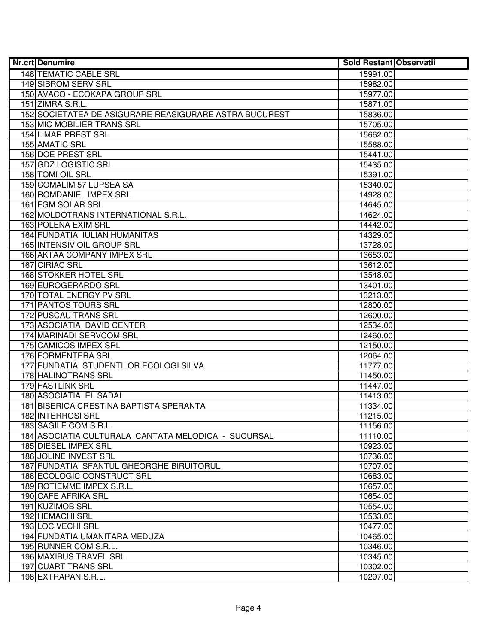| <b>Nr.crt Denumire</b>                                 | Sold Restant Observatii |  |
|--------------------------------------------------------|-------------------------|--|
| 148 TEMATIC CABLE SRL                                  | 15991.00                |  |
| 149 SIBROM SERV SRL                                    | 15982.00                |  |
| 150 AVACO - ECOKAPA GROUP SRL                          | 15977.00                |  |
| 151 ZIMRA S.R.L.                                       | 15871.00                |  |
| 152 SOCIETATEA DE ASIGURARE-REASIGURARE ASTRA BUCUREST | 15836.00                |  |
| 153 MIC MOBILIER TRANS SRL                             | 15705.00                |  |
| 154 LIMAR PREST SRL                                    | 15662.00                |  |
| 155 AMATIC SRL                                         | 15588.00                |  |
| 156 DOE PREST SRL                                      | 15441.00                |  |
| 157 GDZ LOGISTIC SRL                                   | 15435.00                |  |
| 158 TOMI OIL SRL                                       | 15391.00                |  |
| 159 COMALIM 57 LUPSEA SA                               | 15340.00                |  |
| 160 ROMDANIEL IMPEX SRL                                | 14928.00                |  |
| 161 FGM SOLAR SRL                                      | 14645.00                |  |
| 162 MOLDOTRANS INTERNATIONAL S.R.L.                    | 14624.00                |  |
| 163 POLENA EXIM SRL                                    | 14442.00                |  |
| 164 FUNDATIA IULIAN HUMANITAS                          | 14329.00                |  |
| 165 INTENSIV OIL GROUP SRL                             | 13728.00                |  |
| 166 AKTAA COMPANY IMPEX SRL                            | 13653.00                |  |
| 167 CIRIAC SRL                                         | 13612.00                |  |
| 168 STOKKER HOTEL SRL                                  | 13548.00                |  |
| 169 EUROGERARDO SRL                                    | 13401.00                |  |
| 170 TOTAL ENERGY PV SRL                                | 13213.00                |  |
| <b>171 PANTOS TOURS SRL</b>                            | 12800.00                |  |
| 172 PUSCAU TRANS SRL                                   | 12600.00                |  |
| 173 ASOCIATIA DAVID CENTER                             | 12534.00                |  |
| 174 MARINADI SERVCOM SRL                               | 12460.00                |  |
| 175 CAMICOS IMPEX SRL                                  | 12150.00                |  |
| 176 FORMENTERA SRL                                     | 12064.00                |  |
| 177 FUNDATIA STUDENTILOR ECOLOGI SILVA                 | 11777.00                |  |
| 178 HALINOTRANS SRL                                    | 11450.00                |  |
| 179 FASTLINK SRL                                       | 11447.00                |  |
| 180 ASOCIATIA EL SADAI                                 | 11413.00                |  |
| 181 BISERICA CRESTINA BAPTISTA SPERANTA                | 11334.00                |  |
| 182 INTERROSI SRL                                      | 11215.00                |  |
| 183 SAGILE COM S.R.L.                                  | 11156.00                |  |
| 184 ASOCIATIA CULTURALA CANTATA MELODICA - SUCURSAL    | 11110.00                |  |
| 185 DIESEL IMPEX SRL                                   | 10923.00                |  |
| 186 JOLINE INVEST SRL                                  | 10736.00                |  |
| 187 FUNDATIA SFANTUL GHEORGHE BIRUITORUL               | 10707.00                |  |
| 188 ECOLOGIC CONSTRUCT SRL                             | 10683.00                |  |
| 189 ROTIEMME IMPEX S.R.L.                              | 10657.00                |  |
| 190 CAFE AFRIKA SRL                                    | 10654.00                |  |
| 191 KUZIMOB SRL                                        | 10554.00                |  |
| 192 HEMACHI SRL                                        | 10533.00                |  |
| 193 LOC VECHI SRL                                      | 10477.00                |  |
| 194 FUNDATIA UMANITARA MEDUZA                          | 10465.00                |  |
| 195 RUNNER COM S.R.L.                                  | 10346.00                |  |
| 196 MAXIBUS TRAVEL SRL                                 | 10345.00                |  |
| 197 CUART TRANS SRL                                    | 10302.00                |  |
| 198 EXTRAPAN S.R.L.                                    | 10297.00                |  |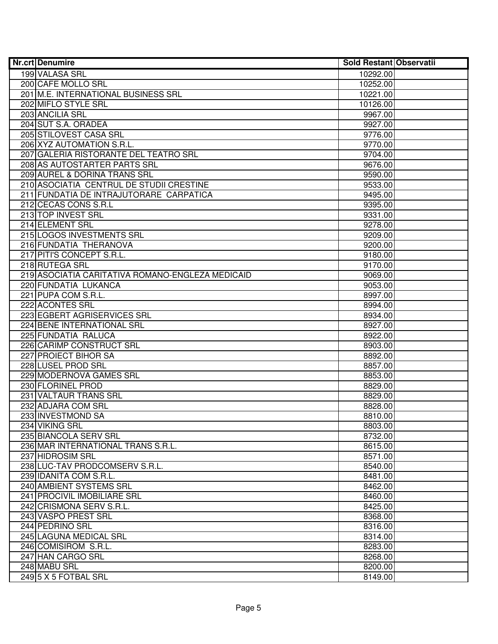| <b>Nr.crt Denumire</b> |                                                  | Sold Restant Observatii |  |
|------------------------|--------------------------------------------------|-------------------------|--|
|                        | 199 VALASA SRL                                   | 10292.00                |  |
|                        | 200 CAFE MOLLO SRL                               | 10252.00                |  |
|                        | 201 M.E. INTERNATIONAL BUSINESS SRL              | 10221.00                |  |
|                        | 202 MIFLO STYLE SRL                              | 10126.00                |  |
|                        | 203 ANCILIA SRL                                  | 9967.00                 |  |
|                        | 204 SUT S.A. ORADEA                              | 9927.00                 |  |
|                        | 205 STILOVEST CASA SRL                           | 9776.00                 |  |
|                        | 206 XYZ AUTOMATION S.R.L.                        | 9770.00                 |  |
|                        | 207 GALERIA RISTORANTE DEL TEATRO SRL            | 9704.00                 |  |
|                        | 208 AS AUTOSTARTER PARTS SRL                     | 9676.00                 |  |
|                        | 209 AUREL & DORINA TRANS SRL                     | 9590.00                 |  |
|                        | 210 ASOCIATIA CENTRUL DE STUDII CRESTINE         | 9533.00                 |  |
|                        | 211 FUNDATIA DE INTRAJUTORARE CARPATICA          | 9495.00                 |  |
|                        | 212 CECAS CONS S.R.L                             | 9395.00                 |  |
|                        | 213 TOP INVEST SRL                               | 9331.00                 |  |
|                        | 214 ELEMENT SRL                                  | 9278.00                 |  |
|                        | 215 LOGOS INVESTMENTS SRL                        | 9209.00                 |  |
|                        | 216 FUNDATIA THERANOVA                           | 9200.00                 |  |
|                        | 217 PITI'S CONCEPT S.R.L.                        | 9180.00                 |  |
|                        | 218 RUTEGA SRL                                   | 9170.00                 |  |
|                        | 219 ASOCIATIA CARITATIVA ROMANO-ENGLEZA MEDICAID | 9069.00                 |  |
|                        | 220 FUNDATIA LUKANCA                             | 9053.00                 |  |
|                        | 221 PUPA COM S.R.L.                              | 8997.00                 |  |
|                        | 222 ACONTES SRL                                  | 8994.00                 |  |
|                        | 223 EGBERT AGRISERVICES SRL                      | 8934.00                 |  |
|                        | 224 BENE INTERNATIONAL SRL                       | 8927.00                 |  |
|                        | 225 FUNDATIA RALUCA                              | 8922.00                 |  |
|                        | 226 CARIMP CONSTRUCT SRL                         | 8903.00                 |  |
|                        | 227 PROIECT BIHOR SA                             | 8892.00                 |  |
|                        | 228 LUSEL PROD SRL                               | 8857.00                 |  |
|                        | 229 MODERNOVA GAMES SRL                          | 8853.00                 |  |
|                        | 230 FLORINEL PROD                                | 8829.00                 |  |
|                        | 231 VALTAUR TRANS SRL                            | 8829.00                 |  |
|                        | 232 ADJARA COM SRL                               | 8828.00                 |  |
|                        | 233 INVESTMOND SA                                | 8810.00                 |  |
|                        | 234 VIKING SRL                                   | 8803.00                 |  |
|                        | 235 BIANCOLA SERV SRL                            | 8732.00                 |  |
|                        | 236 MAR INTERNATIONAL TRANS S.R.L.               | 8615.00                 |  |
|                        | 237 HIDROSIM SRL                                 | 8571.00                 |  |
|                        | 238 LUC-TAV PRODCOMSERV S.R.L.                   | 8540.00                 |  |
|                        | 239 IDANITA COM S.R.L.                           | 8481.00                 |  |
|                        | 240 AMBIENT SYSTEMS SRL                          | 8462.00                 |  |
|                        | 241 PROCIVIL IMOBILIARE SRL                      | 8460.00                 |  |
|                        | 242 CRISMONA SERV S.R.L.                         | 8425.00                 |  |
|                        | 243 VASPO PREST SRL                              | 8368.00                 |  |
|                        | 244 PEDRINO SRL                                  | 8316.00                 |  |
|                        | 245 LAGUNA MEDICAL SRL                           | 8314.00                 |  |
|                        | 246 COMISIROM S.R.L.                             | 8283.00                 |  |
|                        | 247 HAN CARGO SRL                                | 8268.00                 |  |
|                        | 248 MABU SRL                                     | 8200.00                 |  |
|                        | 249 5 X 5 FOTBAL SRL                             | 8149.00                 |  |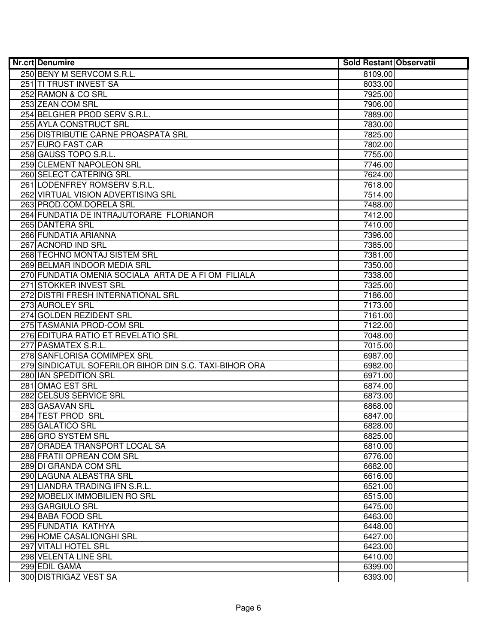| <b>Nr.crt Denumire</b>                                 | Sold Restant Observatii |  |
|--------------------------------------------------------|-------------------------|--|
| 250 BENY M SERVCOM S.R.L.                              | 8109.00                 |  |
| 251 TI TRUST INVEST SA                                 | 8033.00                 |  |
| 252 RAMON & CO SRL                                     | 7925.00                 |  |
| 253 ZEAN COM SRL                                       | 7906.00                 |  |
| 254 BELGHER PROD SERV S.R.L.                           | 7889.00                 |  |
| 255 AYLA CONSTRUCT SRL                                 | 7830.00                 |  |
| 256 DISTRIBUTIE CARNE PROASPATA SRL                    | 7825.00                 |  |
| 257 EURO FAST CAR                                      | 7802.00                 |  |
| 258 GAUSS TOPO S.R.L.                                  | 7755.00                 |  |
| 259 CLEMENT NAPOLEON SRL                               | 7746.00                 |  |
| 260 SELECT CATERING SRL                                | 7624.00                 |  |
| 261 LODENFREY ROMSERV S.R.L.                           | 7618.00                 |  |
| 262 VIRTUAL VISION ADVERTISING SRL                     | 7514.00                 |  |
| 263 PROD.COM.DORELA SRL                                | 7488.00                 |  |
| 264 FUNDATIA DE INTRAJUTORARE FLORIANOR                | 7412.00                 |  |
| 265 DANTERA SRL                                        | 7410.00                 |  |
| 266 FUNDATIA ARIANNA                                   | 7396.00                 |  |
| 267 ACNORD IND SRL                                     | 7385.00                 |  |
| 268 TECHNO MONTAJ SISTEM SRL                           | 7381.00                 |  |
| 269 BELMAR INDOOR MEDIA SRL                            | 7350.00                 |  |
| 270 FUNDATIA OMENIA SOCIALA ARTA DE A FI OM FILIALA    | 7338.00                 |  |
| 271 STOKKER INVEST SRL                                 | 7325.00                 |  |
| 272 DISTRI FRESH INTERNATIONAL SRL                     | 7186.00                 |  |
| 273 AUROLEY SRL                                        | 7173.00                 |  |
| 274 GOLDEN REZIDENT SRL                                | 7161.00                 |  |
| 275 TASMANIA PROD-COM SRL                              | 7122.00                 |  |
| 276 EDITURA RATIO ET REVELATIO SRL                     | 7048.00                 |  |
| 277 PASMATEX S.R.L.                                    | 7015.00                 |  |
| 278 SANFLORISA COMIMPEX SRL                            | 6987.00                 |  |
| 279 SINDICATUL SOFERILOR BIHOR DIN S.C. TAXI-BIHOR ORA | 6982.00                 |  |
| 280 IAN SPEDITION SRL                                  | 6971.00                 |  |
| 281 OMAC EST SRL                                       | 6874.00                 |  |
| 282 CELSUS SERVICE SRL                                 | 6873.00                 |  |
| 283 GASAVAN SRL                                        | 6868.00                 |  |
| 284 TEST PROD SRL                                      | 6847.00                 |  |
| 285 GALATICO SRL                                       | 6828.00                 |  |
| 286 GRO SYSTEM SRL                                     | 6825.00                 |  |
| 287 ORADEA TRANSPORT LOCAL SA                          | 6810.00                 |  |
| 288 FRATII OPREAN COM SRL                              | 6776.00                 |  |
| 289 DI GRANDA COM SRL                                  | 6682.00                 |  |
| 290 LAGUNA ALBASTRA SRL                                | 6616.00                 |  |
| 291 LIANDRA TRADING IFN S.R.L.                         | 6521.00                 |  |
| 292 MOBELIX IMMOBILIEN RO SRL                          | 6515.00                 |  |
| 293 GARGIULO SRL                                       | 6475.00                 |  |
| 294 BABA FOOD SRL                                      | 6463.00                 |  |
| 295 FUNDATIA KATHYA                                    | 6448.00                 |  |
| 296 HOME CASALIONGHI SRL                               | 6427.00                 |  |
| 297 VITALI HOTEL SRL                                   | 6423.00                 |  |
| 298 VELENTA LINE SRL                                   | 6410.00                 |  |
| 299 EDIL GAMA                                          | 6399.00                 |  |
| 300 DISTRIGAZ VEST SA                                  | 6393.00                 |  |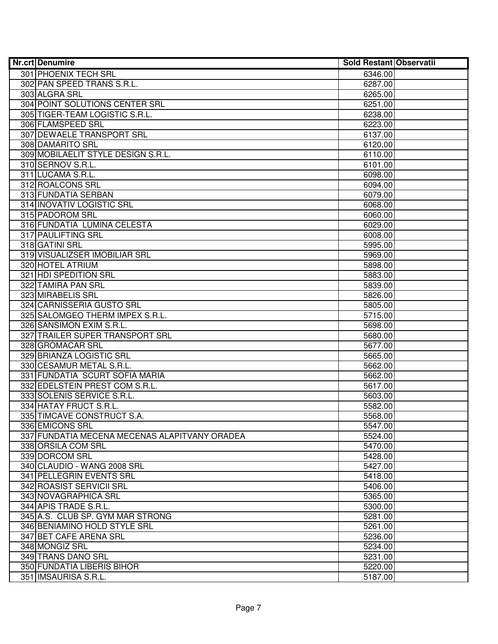| 301 PHOENIX TECH SRL<br>6346.00<br>302 PAN SPEED TRANS S.R.L.<br>6287.00<br>303 ALGRA SRL<br>6265.00<br>304 POINT SOLUTIONS CENTER SRL<br>6251.00<br>305 TIGER-TEAM LOGISTIC S.R.L.<br>6238.00<br>306 FLAMSPEED SRL<br>6223.00<br>307 DEWAELE TRANSPORT SRL<br>6137.00<br>308 DAMARITO SRL<br>6120.00<br>309 MOBILAELIT STYLE DESIGN S.R.L.<br>6110.00<br>310 SERNOV S.R.L.<br>6101.00<br>311 LUCAMA S.R.L.<br>6098.00<br>312 ROALCONS SRL<br>6094.00<br>313 FUNDATIA SERBAN<br>6079.00<br>314 INOVATIV LOGISTIC SRL<br>6068.00<br>315 PADOROM SRL<br>6060.00<br>316 FUNDATIA LUMINA CELESTA<br>6029.00<br><b>317 PAULIFTING SRL</b><br>6008.00<br>318 GATINI SRL<br>5995.00<br>319 VISUALIZSER IMOBILIAR SRL<br>5969.00<br>320 HOTEL ATRIUM<br>5898.00<br>321 HDI SPEDITION SRL<br>5883.00<br>322 TAMIRA PAN SRL<br>5839.00<br>323 MIRABELIS SRL<br>5826.00<br>324 CARNISSERIA GUSTO SRL<br>5805.00<br>325 SALOMGEO THERM IMPEX S.R.L.<br>5715.00<br>326 SANSIMON EXIM S.R.L.<br>5698.00<br>327 TRAILER SUPER TRANSPORT SRL<br>5680.00<br>328 GROMACAR SRL<br>5677.00<br>329 BRIANZA LOGISTIC SRL<br>5665.00<br>330 CESAMUR METAL S.R.L.<br>5662.00<br>331 FUNDATIA SCURT SOFIA MARIA<br>5662.00<br>332 EDELSTEIN PREST COM S.R.L.<br>5617.00<br>333 SOLENIS SERVICE S.R.L.<br>5603.00<br>334 HATAY FRUCT S.R.L.<br>5582.00<br>335 TIMCAVE CONSTRUCT S.A.<br>5568.00<br>336 EMICONS SRL<br>5547.00<br>337 FUNDATIA MECENA MECENAS ALAPITVANY ORADEA<br>5524.00<br>338 ORSILA COM SRL<br>5470.00<br>339 DORCOM SRL<br>5428.00<br>340 CLAUDIO - WANG 2008 SRL<br>5427.00<br>341 PELLEGRIN EVENTS SRL<br>5418.00<br>342 ROASIST SERVICII SRL<br>5406.00<br>343 NOVAGRAPHICA SRL<br>5365.00<br>344 APIS TRADE S.R.L.<br>5300.00<br>345 A.S. CLUB SP. GYM MAR STRONG<br>5281.00<br>346 BENIAMINO HOLD STYLE SRL<br>5261.00<br>347 BET CAFE ARENA SRL<br>5236.00<br>348 MONGIZ SRL<br>5234.00<br>349 TRANS DANO SRL<br>5231.00<br>350 FUNDATIA LIBERIS BIHOR<br>5220.00 | <b>Nr.crt Denumire</b> | Sold Restant Observatii |  |
|--------------------------------------------------------------------------------------------------------------------------------------------------------------------------------------------------------------------------------------------------------------------------------------------------------------------------------------------------------------------------------------------------------------------------------------------------------------------------------------------------------------------------------------------------------------------------------------------------------------------------------------------------------------------------------------------------------------------------------------------------------------------------------------------------------------------------------------------------------------------------------------------------------------------------------------------------------------------------------------------------------------------------------------------------------------------------------------------------------------------------------------------------------------------------------------------------------------------------------------------------------------------------------------------------------------------------------------------------------------------------------------------------------------------------------------------------------------------------------------------------------------------------------------------------------------------------------------------------------------------------------------------------------------------------------------------------------------------------------------------------------------------------------------------------------------------------------------------------------------------------------------------------------------------------------------------------------------------|------------------------|-------------------------|--|
|                                                                                                                                                                                                                                                                                                                                                                                                                                                                                                                                                                                                                                                                                                                                                                                                                                                                                                                                                                                                                                                                                                                                                                                                                                                                                                                                                                                                                                                                                                                                                                                                                                                                                                                                                                                                                                                                                                                                                                    |                        |                         |  |
|                                                                                                                                                                                                                                                                                                                                                                                                                                                                                                                                                                                                                                                                                                                                                                                                                                                                                                                                                                                                                                                                                                                                                                                                                                                                                                                                                                                                                                                                                                                                                                                                                                                                                                                                                                                                                                                                                                                                                                    |                        |                         |  |
|                                                                                                                                                                                                                                                                                                                                                                                                                                                                                                                                                                                                                                                                                                                                                                                                                                                                                                                                                                                                                                                                                                                                                                                                                                                                                                                                                                                                                                                                                                                                                                                                                                                                                                                                                                                                                                                                                                                                                                    |                        |                         |  |
|                                                                                                                                                                                                                                                                                                                                                                                                                                                                                                                                                                                                                                                                                                                                                                                                                                                                                                                                                                                                                                                                                                                                                                                                                                                                                                                                                                                                                                                                                                                                                                                                                                                                                                                                                                                                                                                                                                                                                                    |                        |                         |  |
|                                                                                                                                                                                                                                                                                                                                                                                                                                                                                                                                                                                                                                                                                                                                                                                                                                                                                                                                                                                                                                                                                                                                                                                                                                                                                                                                                                                                                                                                                                                                                                                                                                                                                                                                                                                                                                                                                                                                                                    |                        |                         |  |
|                                                                                                                                                                                                                                                                                                                                                                                                                                                                                                                                                                                                                                                                                                                                                                                                                                                                                                                                                                                                                                                                                                                                                                                                                                                                                                                                                                                                                                                                                                                                                                                                                                                                                                                                                                                                                                                                                                                                                                    |                        |                         |  |
|                                                                                                                                                                                                                                                                                                                                                                                                                                                                                                                                                                                                                                                                                                                                                                                                                                                                                                                                                                                                                                                                                                                                                                                                                                                                                                                                                                                                                                                                                                                                                                                                                                                                                                                                                                                                                                                                                                                                                                    |                        |                         |  |
|                                                                                                                                                                                                                                                                                                                                                                                                                                                                                                                                                                                                                                                                                                                                                                                                                                                                                                                                                                                                                                                                                                                                                                                                                                                                                                                                                                                                                                                                                                                                                                                                                                                                                                                                                                                                                                                                                                                                                                    |                        |                         |  |
|                                                                                                                                                                                                                                                                                                                                                                                                                                                                                                                                                                                                                                                                                                                                                                                                                                                                                                                                                                                                                                                                                                                                                                                                                                                                                                                                                                                                                                                                                                                                                                                                                                                                                                                                                                                                                                                                                                                                                                    |                        |                         |  |
|                                                                                                                                                                                                                                                                                                                                                                                                                                                                                                                                                                                                                                                                                                                                                                                                                                                                                                                                                                                                                                                                                                                                                                                                                                                                                                                                                                                                                                                                                                                                                                                                                                                                                                                                                                                                                                                                                                                                                                    |                        |                         |  |
|                                                                                                                                                                                                                                                                                                                                                                                                                                                                                                                                                                                                                                                                                                                                                                                                                                                                                                                                                                                                                                                                                                                                                                                                                                                                                                                                                                                                                                                                                                                                                                                                                                                                                                                                                                                                                                                                                                                                                                    |                        |                         |  |
|                                                                                                                                                                                                                                                                                                                                                                                                                                                                                                                                                                                                                                                                                                                                                                                                                                                                                                                                                                                                                                                                                                                                                                                                                                                                                                                                                                                                                                                                                                                                                                                                                                                                                                                                                                                                                                                                                                                                                                    |                        |                         |  |
|                                                                                                                                                                                                                                                                                                                                                                                                                                                                                                                                                                                                                                                                                                                                                                                                                                                                                                                                                                                                                                                                                                                                                                                                                                                                                                                                                                                                                                                                                                                                                                                                                                                                                                                                                                                                                                                                                                                                                                    |                        |                         |  |
|                                                                                                                                                                                                                                                                                                                                                                                                                                                                                                                                                                                                                                                                                                                                                                                                                                                                                                                                                                                                                                                                                                                                                                                                                                                                                                                                                                                                                                                                                                                                                                                                                                                                                                                                                                                                                                                                                                                                                                    |                        |                         |  |
|                                                                                                                                                                                                                                                                                                                                                                                                                                                                                                                                                                                                                                                                                                                                                                                                                                                                                                                                                                                                                                                                                                                                                                                                                                                                                                                                                                                                                                                                                                                                                                                                                                                                                                                                                                                                                                                                                                                                                                    |                        |                         |  |
|                                                                                                                                                                                                                                                                                                                                                                                                                                                                                                                                                                                                                                                                                                                                                                                                                                                                                                                                                                                                                                                                                                                                                                                                                                                                                                                                                                                                                                                                                                                                                                                                                                                                                                                                                                                                                                                                                                                                                                    |                        |                         |  |
|                                                                                                                                                                                                                                                                                                                                                                                                                                                                                                                                                                                                                                                                                                                                                                                                                                                                                                                                                                                                                                                                                                                                                                                                                                                                                                                                                                                                                                                                                                                                                                                                                                                                                                                                                                                                                                                                                                                                                                    |                        |                         |  |
|                                                                                                                                                                                                                                                                                                                                                                                                                                                                                                                                                                                                                                                                                                                                                                                                                                                                                                                                                                                                                                                                                                                                                                                                                                                                                                                                                                                                                                                                                                                                                                                                                                                                                                                                                                                                                                                                                                                                                                    |                        |                         |  |
|                                                                                                                                                                                                                                                                                                                                                                                                                                                                                                                                                                                                                                                                                                                                                                                                                                                                                                                                                                                                                                                                                                                                                                                                                                                                                                                                                                                                                                                                                                                                                                                                                                                                                                                                                                                                                                                                                                                                                                    |                        |                         |  |
|                                                                                                                                                                                                                                                                                                                                                                                                                                                                                                                                                                                                                                                                                                                                                                                                                                                                                                                                                                                                                                                                                                                                                                                                                                                                                                                                                                                                                                                                                                                                                                                                                                                                                                                                                                                                                                                                                                                                                                    |                        |                         |  |
|                                                                                                                                                                                                                                                                                                                                                                                                                                                                                                                                                                                                                                                                                                                                                                                                                                                                                                                                                                                                                                                                                                                                                                                                                                                                                                                                                                                                                                                                                                                                                                                                                                                                                                                                                                                                                                                                                                                                                                    |                        |                         |  |
|                                                                                                                                                                                                                                                                                                                                                                                                                                                                                                                                                                                                                                                                                                                                                                                                                                                                                                                                                                                                                                                                                                                                                                                                                                                                                                                                                                                                                                                                                                                                                                                                                                                                                                                                                                                                                                                                                                                                                                    |                        |                         |  |
|                                                                                                                                                                                                                                                                                                                                                                                                                                                                                                                                                                                                                                                                                                                                                                                                                                                                                                                                                                                                                                                                                                                                                                                                                                                                                                                                                                                                                                                                                                                                                                                                                                                                                                                                                                                                                                                                                                                                                                    |                        |                         |  |
|                                                                                                                                                                                                                                                                                                                                                                                                                                                                                                                                                                                                                                                                                                                                                                                                                                                                                                                                                                                                                                                                                                                                                                                                                                                                                                                                                                                                                                                                                                                                                                                                                                                                                                                                                                                                                                                                                                                                                                    |                        |                         |  |
|                                                                                                                                                                                                                                                                                                                                                                                                                                                                                                                                                                                                                                                                                                                                                                                                                                                                                                                                                                                                                                                                                                                                                                                                                                                                                                                                                                                                                                                                                                                                                                                                                                                                                                                                                                                                                                                                                                                                                                    |                        |                         |  |
|                                                                                                                                                                                                                                                                                                                                                                                                                                                                                                                                                                                                                                                                                                                                                                                                                                                                                                                                                                                                                                                                                                                                                                                                                                                                                                                                                                                                                                                                                                                                                                                                                                                                                                                                                                                                                                                                                                                                                                    |                        |                         |  |
|                                                                                                                                                                                                                                                                                                                                                                                                                                                                                                                                                                                                                                                                                                                                                                                                                                                                                                                                                                                                                                                                                                                                                                                                                                                                                                                                                                                                                                                                                                                                                                                                                                                                                                                                                                                                                                                                                                                                                                    |                        |                         |  |
|                                                                                                                                                                                                                                                                                                                                                                                                                                                                                                                                                                                                                                                                                                                                                                                                                                                                                                                                                                                                                                                                                                                                                                                                                                                                                                                                                                                                                                                                                                                                                                                                                                                                                                                                                                                                                                                                                                                                                                    |                        |                         |  |
|                                                                                                                                                                                                                                                                                                                                                                                                                                                                                                                                                                                                                                                                                                                                                                                                                                                                                                                                                                                                                                                                                                                                                                                                                                                                                                                                                                                                                                                                                                                                                                                                                                                                                                                                                                                                                                                                                                                                                                    |                        |                         |  |
|                                                                                                                                                                                                                                                                                                                                                                                                                                                                                                                                                                                                                                                                                                                                                                                                                                                                                                                                                                                                                                                                                                                                                                                                                                                                                                                                                                                                                                                                                                                                                                                                                                                                                                                                                                                                                                                                                                                                                                    |                        |                         |  |
|                                                                                                                                                                                                                                                                                                                                                                                                                                                                                                                                                                                                                                                                                                                                                                                                                                                                                                                                                                                                                                                                                                                                                                                                                                                                                                                                                                                                                                                                                                                                                                                                                                                                                                                                                                                                                                                                                                                                                                    |                        |                         |  |
|                                                                                                                                                                                                                                                                                                                                                                                                                                                                                                                                                                                                                                                                                                                                                                                                                                                                                                                                                                                                                                                                                                                                                                                                                                                                                                                                                                                                                                                                                                                                                                                                                                                                                                                                                                                                                                                                                                                                                                    |                        |                         |  |
|                                                                                                                                                                                                                                                                                                                                                                                                                                                                                                                                                                                                                                                                                                                                                                                                                                                                                                                                                                                                                                                                                                                                                                                                                                                                                                                                                                                                                                                                                                                                                                                                                                                                                                                                                                                                                                                                                                                                                                    |                        |                         |  |
|                                                                                                                                                                                                                                                                                                                                                                                                                                                                                                                                                                                                                                                                                                                                                                                                                                                                                                                                                                                                                                                                                                                                                                                                                                                                                                                                                                                                                                                                                                                                                                                                                                                                                                                                                                                                                                                                                                                                                                    |                        |                         |  |
|                                                                                                                                                                                                                                                                                                                                                                                                                                                                                                                                                                                                                                                                                                                                                                                                                                                                                                                                                                                                                                                                                                                                                                                                                                                                                                                                                                                                                                                                                                                                                                                                                                                                                                                                                                                                                                                                                                                                                                    |                        |                         |  |
|                                                                                                                                                                                                                                                                                                                                                                                                                                                                                                                                                                                                                                                                                                                                                                                                                                                                                                                                                                                                                                                                                                                                                                                                                                                                                                                                                                                                                                                                                                                                                                                                                                                                                                                                                                                                                                                                                                                                                                    |                        |                         |  |
|                                                                                                                                                                                                                                                                                                                                                                                                                                                                                                                                                                                                                                                                                                                                                                                                                                                                                                                                                                                                                                                                                                                                                                                                                                                                                                                                                                                                                                                                                                                                                                                                                                                                                                                                                                                                                                                                                                                                                                    |                        |                         |  |
|                                                                                                                                                                                                                                                                                                                                                                                                                                                                                                                                                                                                                                                                                                                                                                                                                                                                                                                                                                                                                                                                                                                                                                                                                                                                                                                                                                                                                                                                                                                                                                                                                                                                                                                                                                                                                                                                                                                                                                    |                        |                         |  |
|                                                                                                                                                                                                                                                                                                                                                                                                                                                                                                                                                                                                                                                                                                                                                                                                                                                                                                                                                                                                                                                                                                                                                                                                                                                                                                                                                                                                                                                                                                                                                                                                                                                                                                                                                                                                                                                                                                                                                                    |                        |                         |  |
|                                                                                                                                                                                                                                                                                                                                                                                                                                                                                                                                                                                                                                                                                                                                                                                                                                                                                                                                                                                                                                                                                                                                                                                                                                                                                                                                                                                                                                                                                                                                                                                                                                                                                                                                                                                                                                                                                                                                                                    |                        |                         |  |
|                                                                                                                                                                                                                                                                                                                                                                                                                                                                                                                                                                                                                                                                                                                                                                                                                                                                                                                                                                                                                                                                                                                                                                                                                                                                                                                                                                                                                                                                                                                                                                                                                                                                                                                                                                                                                                                                                                                                                                    |                        |                         |  |
|                                                                                                                                                                                                                                                                                                                                                                                                                                                                                                                                                                                                                                                                                                                                                                                                                                                                                                                                                                                                                                                                                                                                                                                                                                                                                                                                                                                                                                                                                                                                                                                                                                                                                                                                                                                                                                                                                                                                                                    |                        |                         |  |
|                                                                                                                                                                                                                                                                                                                                                                                                                                                                                                                                                                                                                                                                                                                                                                                                                                                                                                                                                                                                                                                                                                                                                                                                                                                                                                                                                                                                                                                                                                                                                                                                                                                                                                                                                                                                                                                                                                                                                                    |                        |                         |  |
|                                                                                                                                                                                                                                                                                                                                                                                                                                                                                                                                                                                                                                                                                                                                                                                                                                                                                                                                                                                                                                                                                                                                                                                                                                                                                                                                                                                                                                                                                                                                                                                                                                                                                                                                                                                                                                                                                                                                                                    |                        |                         |  |
|                                                                                                                                                                                                                                                                                                                                                                                                                                                                                                                                                                                                                                                                                                                                                                                                                                                                                                                                                                                                                                                                                                                                                                                                                                                                                                                                                                                                                                                                                                                                                                                                                                                                                                                                                                                                                                                                                                                                                                    |                        |                         |  |
|                                                                                                                                                                                                                                                                                                                                                                                                                                                                                                                                                                                                                                                                                                                                                                                                                                                                                                                                                                                                                                                                                                                                                                                                                                                                                                                                                                                                                                                                                                                                                                                                                                                                                                                                                                                                                                                                                                                                                                    |                        |                         |  |
|                                                                                                                                                                                                                                                                                                                                                                                                                                                                                                                                                                                                                                                                                                                                                                                                                                                                                                                                                                                                                                                                                                                                                                                                                                                                                                                                                                                                                                                                                                                                                                                                                                                                                                                                                                                                                                                                                                                                                                    |                        |                         |  |
|                                                                                                                                                                                                                                                                                                                                                                                                                                                                                                                                                                                                                                                                                                                                                                                                                                                                                                                                                                                                                                                                                                                                                                                                                                                                                                                                                                                                                                                                                                                                                                                                                                                                                                                                                                                                                                                                                                                                                                    |                        |                         |  |
|                                                                                                                                                                                                                                                                                                                                                                                                                                                                                                                                                                                                                                                                                                                                                                                                                                                                                                                                                                                                                                                                                                                                                                                                                                                                                                                                                                                                                                                                                                                                                                                                                                                                                                                                                                                                                                                                                                                                                                    |                        |                         |  |
|                                                                                                                                                                                                                                                                                                                                                                                                                                                                                                                                                                                                                                                                                                                                                                                                                                                                                                                                                                                                                                                                                                                                                                                                                                                                                                                                                                                                                                                                                                                                                                                                                                                                                                                                                                                                                                                                                                                                                                    | 351 IMSAURISA S.R.L.   | 5187.00                 |  |